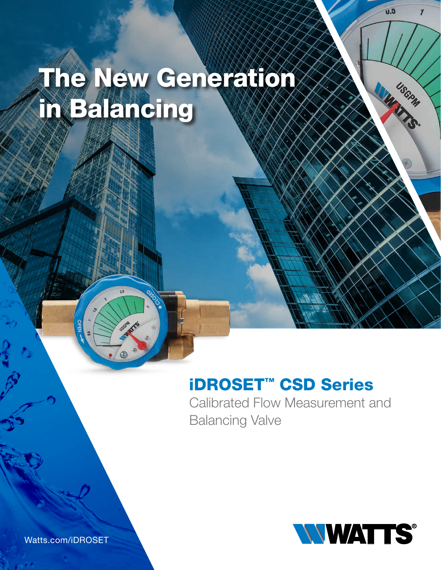# The New Generation in Balancing

### iDROSET™ CSD Series

Calibrated Flow Measurement and Balancing Valve



น.จิ

 $\overline{r}$ 

USGRW

Municipal

Watts.com/iDROSET